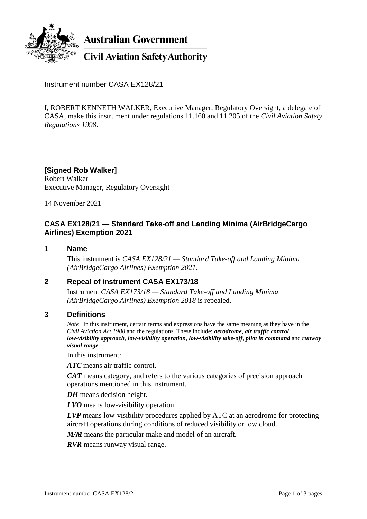

**Australian Government** 

**Civil Aviation Safety Authority** 

Instrument number CASA EX128/21

I, ROBERT KENNETH WALKER, Executive Manager, Regulatory Oversight, a delegate of CASA, make this instrument under regulations 11.160 and 11.205 of the *Civil Aviation Safety Regulations 1998*.

**[Signed Rob Walker]** Robert Walker Executive Manager, Regulatory Oversight

14 November 2021

# **CASA EX128/21 — Standard Take-off and Landing Minima (AirBridgeCargo Airlines) Exemption 2021**

### **1 Name**

This instrument is *CASA EX128/21 — Standard Take-off and Landing Minima (AirBridgeCargo Airlines) Exemption 2021*.

## **2 Repeal of instrument CASA EX173/18**

Instrument *CASA EX173/18 — Standard Take-off and Landing Minima (AirBridgeCargo Airlines) Exemption 2018* is repealed.

### **3 Definitions**

*Note* In this instrument, certain terms and expressions have the same meaning as they have in the *Civil Aviation Act 1988* and the regulations. These include: *aerodrome*, *air traffic control*, *low-visibility approach*, *low-visibility operation*, *low-visibility take-off*, *pilot in command* and *runway visual range*.

In this instrument:

*ATC* means air traffic control.

*CAT* means category, and refers to the various categories of precision approach operations mentioned in this instrument.

*DH* means decision height.

*LVO* means low-visibility operation.

*LVP* means low-visibility procedures applied by ATC at an aerodrome for protecting aircraft operations during conditions of reduced visibility or low cloud.

*M/M* means the particular make and model of an aircraft.

*RVR* means runway visual range.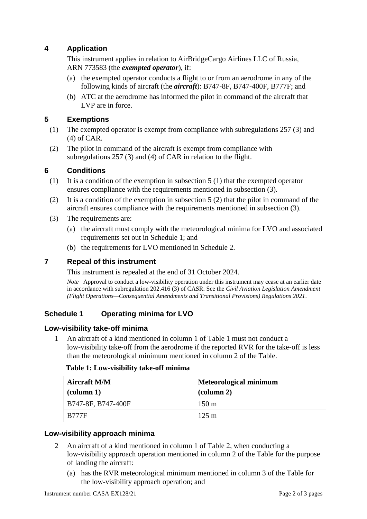# **4 Application**

This instrument applies in relation to AirBridgeCargo Airlines LLC of Russia, ARN 773583 (the *exempted operator*), if:

- (a) the exempted operator conducts a flight to or from an aerodrome in any of the following kinds of aircraft (the *aircraft*): B747-8F, B747-400F, B777F; and
- (b) ATC at the aerodrome has informed the pilot in command of the aircraft that LVP are in force.

## **5 Exemptions**

- (1) The exempted operator is exempt from compliance with subregulations 257 (3) and (4) of CAR.
- (2) The pilot in command of the aircraft is exempt from compliance with subregulations 257 (3) and (4) of CAR in relation to the flight.

#### **6 Conditions**

- (1) It is a condition of the exemption in subsection 5 (1) that the exempted operator ensures compliance with the requirements mentioned in subsection (3).
- (2) It is a condition of the exemption in subsection 5 (2) that the pilot in command of the aircraft ensures compliance with the requirements mentioned in subsection (3).
- (3) The requirements are:
	- (a) the aircraft must comply with the meteorological minima for LVO and associated requirements set out in Schedule 1; and
	- (b) the requirements for LVO mentioned in Schedule 2.

### **7 Repeal of this instrument**

This instrument is repealed at the end of 31 October 2024.

*Note* Approval to conduct a low-visibility operation under this instrument may cease at an earlier date in accordance with subregulation 202.416 (3) of CASR. See the *Civil Aviation Legislation Amendment (Flight Operations—Consequential Amendments and Transitional Provisions) Regulations 2021*.

### **Schedule 1 Operating minima for LVO**

#### **Low-visibility take-off minima**

1 An aircraft of a kind mentioned in column 1 of Table 1 must not conduct a low-visibility take-off from the aerodrome if the reported RVR for the take-off is less than the meteorological minimum mentioned in column 2 of the Table.

#### **Table 1: Low-visibility take-off minima**

| <b>Aircraft M/M</b><br>$\text{(column 1)}$ | <b>Meteorological minimum</b><br>$\alpha$ (column 2) |
|--------------------------------------------|------------------------------------------------------|
| B747-8F, B747-400F                         | $150 \text{ m}$                                      |
| <b>B777F</b>                               | $125 \text{ m}$                                      |

### **Low-visibility approach minima**

- 2 An aircraft of a kind mentioned in column 1 of Table 2, when conducting a low-visibility approach operation mentioned in column 2 of the Table for the purpose of landing the aircraft:
	- (a) has the RVR meteorological minimum mentioned in column 3 of the Table for the low-visibility approach operation; and